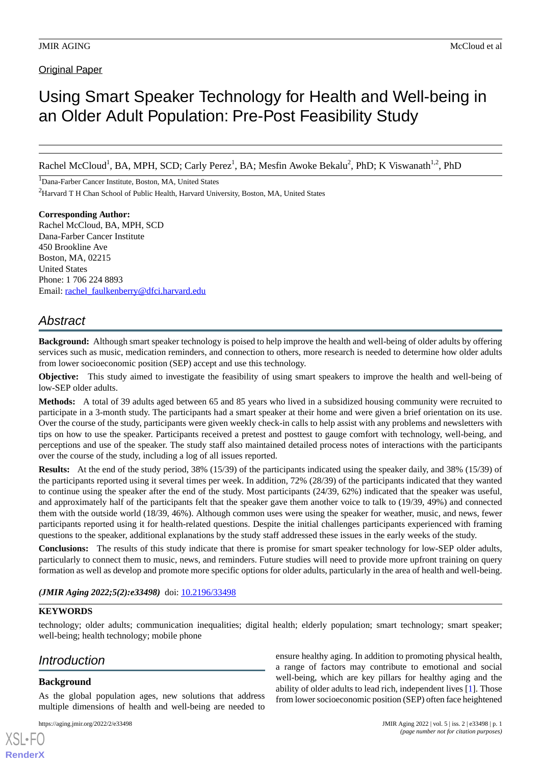**Original Paper** 

# Using Smart Speaker Technology for Health and Well-being in an Older Adult Population: Pre-Post Feasibility Study

Rachel McCloud<sup>1</sup>, BA, MPH, SCD; Carly Perez<sup>1</sup>, BA; Mesfin Awoke Bekalu<sup>2</sup>, PhD; K Viswanath<sup>1,2</sup>, PhD

<sup>1</sup>Dana-Farber Cancer Institute, Boston, MA, United States <sup>2</sup>Harvard T H Chan School of Public Health, Harvard University, Boston, MA, United States

**Corresponding Author:** Rachel McCloud, BA, MPH, SCD Dana-Farber Cancer Institute 450 Brookline Ave Boston, MA, 02215 United States Phone: 1 706 224 8893 Email: [rachel\\_faulkenberry@dfci.harvard.edu](mailto:rachel_faulkenberry@dfci.harvard.edu)

## *Abstract*

**Background:** Although smart speaker technology is poised to help improve the health and well-being of older adults by offering services such as music, medication reminders, and connection to others, more research is needed to determine how older adults from lower socioeconomic position (SEP) accept and use this technology.

**Objective:** This study aimed to investigate the feasibility of using smart speakers to improve the health and well-being of low-SEP older adults.

**Methods:** A total of 39 adults aged between 65 and 85 years who lived in a subsidized housing community were recruited to participate in a 3-month study. The participants had a smart speaker at their home and were given a brief orientation on its use. Over the course of the study, participants were given weekly check-in calls to help assist with any problems and newsletters with tips on how to use the speaker. Participants received a pretest and posttest to gauge comfort with technology, well-being, and perceptions and use of the speaker. The study staff also maintained detailed process notes of interactions with the participants over the course of the study, including a log of all issues reported.

**Results:** At the end of the study period, 38% (15/39) of the participants indicated using the speaker daily, and 38% (15/39) of the participants reported using it several times per week. In addition, 72% (28/39) of the participants indicated that they wanted to continue using the speaker after the end of the study. Most participants (24/39, 62%) indicated that the speaker was useful, and approximately half of the participants felt that the speaker gave them another voice to talk to (19/39, 49%) and connected them with the outside world (18/39, 46%). Although common uses were using the speaker for weather, music, and news, fewer participants reported using it for health-related questions. Despite the initial challenges participants experienced with framing questions to the speaker, additional explanations by the study staff addressed these issues in the early weeks of the study.

**Conclusions:** The results of this study indicate that there is promise for smart speaker technology for low-SEP older adults, particularly to connect them to music, news, and reminders. Future studies will need to provide more upfront training on query formation as well as develop and promote more specific options for older adults, particularly in the area of health and well-being.

(JMIR Aging 2022;5(2):e33498) doi: [10.2196/33498](http://dx.doi.org/10.2196/33498)

### **KEYWORDS**

technology; older adults; communication inequalities; digital health; elderly population; smart technology; smart speaker; well-being; health technology; mobile phone

## *Introduction*

### **Background**

[XSL](http://www.w3.org/Style/XSL)•FO **[RenderX](http://www.renderx.com/)**

As the global population ages, new solutions that address multiple dimensions of health and well-being are needed to

```
https://aging.jmir.org/2022/2/e33498 JMIR Aging 2022 | vol. 5 | iss. 2 | e33498 | p. 1
```
ensure healthy aging. In addition to promoting physical health, a range of factors may contribute to emotional and social well-being, which are key pillars for healthy aging and the ability of older adults to lead rich, independent lives [\[1](#page-8-0)]. Those from lower socioeconomic position (SEP) often face heightened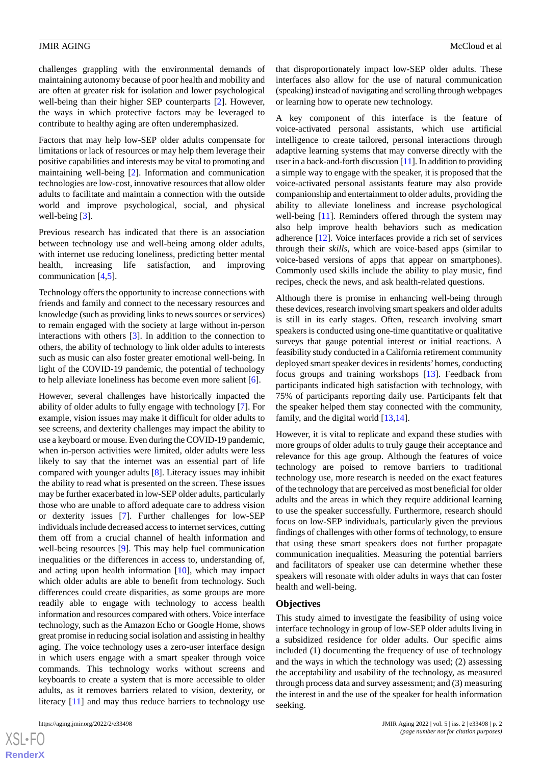challenges grappling with the environmental demands of maintaining autonomy because of poor health and mobility and are often at greater risk for isolation and lower psychological well-being than their higher SEP counterparts [[2\]](#page-8-1). However, the ways in which protective factors may be leveraged to contribute to healthy aging are often underemphasized.

Factors that may help low-SEP older adults compensate for limitations or lack of resources or may help them leverage their positive capabilities and interests may be vital to promoting and maintaining well-being [\[2](#page-8-1)]. Information and communication technologies are low-cost, innovative resources that allow older adults to facilitate and maintain a connection with the outside world and improve psychological, social, and physical well-being [\[3](#page-8-2)].

Previous research has indicated that there is an association between technology use and well-being among older adults, with internet use reducing loneliness, predicting better mental health, increasing life satisfaction, and improving communication [[4,](#page-9-0)[5](#page-9-1)].

Technology offers the opportunity to increase connections with friends and family and connect to the necessary resources and knowledge (such as providing links to news sources or services) to remain engaged with the society at large without in-person interactions with others [[3\]](#page-8-2). In addition to the connection to others, the ability of technology to link older adults to interests such as music can also foster greater emotional well-being. In light of the COVID-19 pandemic, the potential of technology to help alleviate loneliness has become even more salient [\[6\]](#page-9-2).

However, several challenges have historically impacted the ability of older adults to fully engage with technology [\[7\]](#page-9-3). For example, vision issues may make it difficult for older adults to see screens, and dexterity challenges may impact the ability to use a keyboard or mouse. Even during the COVID-19 pandemic, when in-person activities were limited, older adults were less likely to say that the internet was an essential part of life compared with younger adults [\[8](#page-9-4)]. Literacy issues may inhibit the ability to read what is presented on the screen. These issues may be further exacerbated in low-SEP older adults, particularly those who are unable to afford adequate care to address vision or dexterity issues [\[7](#page-9-3)]. Further challenges for low-SEP individuals include decreased access to internet services, cutting them off from a crucial channel of health information and well-being resources [\[9](#page-9-5)]. This may help fuel communication inequalities or the differences in access to, understanding of, and acting upon health information [[10\]](#page-9-6), which may impact which older adults are able to benefit from technology. Such differences could create disparities, as some groups are more readily able to engage with technology to access health information and resources compared with others. Voice interface technology, such as the Amazon Echo or Google Home, shows great promise in reducing social isolation and assisting in healthy aging. The voice technology uses a zero-user interface design in which users engage with a smart speaker through voice commands. This technology works without screens and keyboards to create a system that is more accessible to older adults, as it removes barriers related to vision, dexterity, or literacy [\[11](#page-9-7)] and may thus reduce barriers to technology use

 $XS$  $\cdot$ FC **[RenderX](http://www.renderx.com/)** that disproportionately impact low-SEP older adults. These interfaces also allow for the use of natural communication (speaking) instead of navigating and scrolling through webpages or learning how to operate new technology.

A key component of this interface is the feature of voice-activated personal assistants, which use artificial intelligence to create tailored, personal interactions through adaptive learning systems that may converse directly with the user in a back-and-forth discussion [[11\]](#page-9-7). In addition to providing a simple way to engage with the speaker, it is proposed that the voice-activated personal assistants feature may also provide companionship and entertainment to older adults, providing the ability to alleviate loneliness and increase psychological well-being [[11\]](#page-9-7). Reminders offered through the system may also help improve health behaviors such as medication adherence [\[12](#page-9-8)]. Voice interfaces provide a rich set of services through their *skills*, which are voice-based apps (similar to voice-based versions of apps that appear on smartphones). Commonly used skills include the ability to play music, find recipes, check the news, and ask health-related questions.

Although there is promise in enhancing well-being through these devices, research involving smart speakers and older adults is still in its early stages. Often, research involving smart speakers is conducted using one-time quantitative or qualitative surveys that gauge potential interest or initial reactions. A feasibility study conducted in a California retirement community deployed smart speaker devices in residents'homes, conducting focus groups and training workshops [\[13](#page-9-9)]. Feedback from participants indicated high satisfaction with technology, with 75% of participants reporting daily use. Participants felt that the speaker helped them stay connected with the community, family, and the digital world [[13](#page-9-9)[,14](#page-9-10)].

However, it is vital to replicate and expand these studies with more groups of older adults to truly gauge their acceptance and relevance for this age group. Although the features of voice technology are poised to remove barriers to traditional technology use, more research is needed on the exact features of the technology that are perceived as most beneficial for older adults and the areas in which they require additional learning to use the speaker successfully. Furthermore, research should focus on low-SEP individuals, particularly given the previous findings of challenges with other forms of technology, to ensure that using these smart speakers does not further propagate communication inequalities. Measuring the potential barriers and facilitators of speaker use can determine whether these speakers will resonate with older adults in ways that can foster health and well-being.

### **Objectives**

This study aimed to investigate the feasibility of using voice interface technology in group of low-SEP older adults living in a subsidized residence for older adults. Our specific aims included (1) documenting the frequency of use of technology and the ways in which the technology was used; (2) assessing the acceptability and usability of the technology, as measured through process data and survey assessment; and (3) measuring the interest in and the use of the speaker for health information seeking.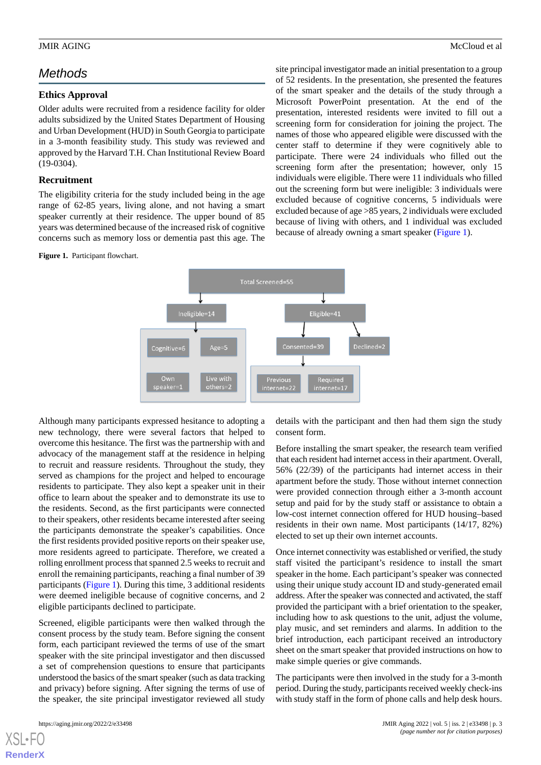## *Methods*

### **Ethics Approval**

Older adults were recruited from a residence facility for older adults subsidized by the United States Department of Housing and Urban Development (HUD) in South Georgia to participate in a 3-month feasibility study. This study was reviewed and approved by the Harvard T.H. Chan Institutional Review Board (19-0304).

### **Recruitment**

The eligibility criteria for the study included being in the age range of 62-85 years, living alone, and not having a smart speaker currently at their residence. The upper bound of 85 years was determined because of the increased risk of cognitive concerns such as memory loss or dementia past this age. The

<span id="page-2-0"></span>Figure 1. Participant flowchart.

site principal investigator made an initial presentation to a group of 52 residents. In the presentation, she presented the features of the smart speaker and the details of the study through a Microsoft PowerPoint presentation. At the end of the presentation, interested residents were invited to fill out a screening form for consideration for joining the project. The names of those who appeared eligible were discussed with the center staff to determine if they were cognitively able to participate. There were 24 individuals who filled out the screening form after the presentation; however, only 15 individuals were eligible. There were 11 individuals who filled out the screening form but were ineligible: 3 individuals were excluded because of cognitive concerns, 5 individuals were excluded because of age >85 years, 2 individuals were excluded because of living with others, and 1 individual was excluded because of already owning a smart speaker ([Figure 1](#page-2-0)).



Although many participants expressed hesitance to adopting a new technology, there were several factors that helped to overcome this hesitance. The first was the partnership with and advocacy of the management staff at the residence in helping to recruit and reassure residents. Throughout the study, they served as champions for the project and helped to encourage residents to participate. They also kept a speaker unit in their office to learn about the speaker and to demonstrate its use to the residents. Second, as the first participants were connected to their speakers, other residents became interested after seeing the participants demonstrate the speaker's capabilities. Once the first residents provided positive reports on their speaker use, more residents agreed to participate. Therefore, we created a rolling enrollment process that spanned 2.5 weeks to recruit and enroll the remaining participants, reaching a final number of 39 participants ([Figure 1](#page-2-0)). During this time, 3 additional residents were deemed ineligible because of cognitive concerns, and 2 eligible participants declined to participate.

Screened, eligible participants were then walked through the consent process by the study team. Before signing the consent form, each participant reviewed the terms of use of the smart speaker with the site principal investigator and then discussed a set of comprehension questions to ensure that participants understood the basics of the smart speaker (such as data tracking and privacy) before signing. After signing the terms of use of the speaker, the site principal investigator reviewed all study

[XSL](http://www.w3.org/Style/XSL)•FO **[RenderX](http://www.renderx.com/)**

details with the participant and then had them sign the study consent form.

Before installing the smart speaker, the research team verified that each resident had internet access in their apartment. Overall, 56% (22/39) of the participants had internet access in their apartment before the study. Those without internet connection were provided connection through either a 3-month account setup and paid for by the study staff or assistance to obtain a low-cost internet connection offered for HUD housing–based residents in their own name. Most participants (14/17, 82%) elected to set up their own internet accounts.

Once internet connectivity was established or verified, the study staff visited the participant's residence to install the smart speaker in the home. Each participant's speaker was connected using their unique study account ID and study-generated email address. After the speaker was connected and activated, the staff provided the participant with a brief orientation to the speaker, including how to ask questions to the unit, adjust the volume, play music, and set reminders and alarms. In addition to the brief introduction, each participant received an introductory sheet on the smart speaker that provided instructions on how to make simple queries or give commands.

The participants were then involved in the study for a 3-month period. During the study, participants received weekly check-ins with study staff in the form of phone calls and help desk hours.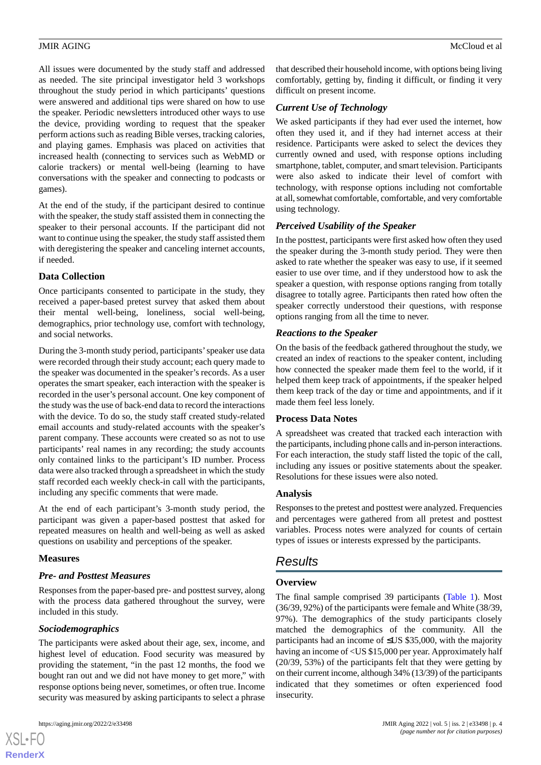### JMIR AGING MCCloud et al. **McCloud et al.** McCloud et al. **McCloud et al.** McCloud et al.

All issues were documented by the study staff and addressed as needed. The site principal investigator held 3 workshops throughout the study period in which participants' questions were answered and additional tips were shared on how to use the speaker. Periodic newsletters introduced other ways to use the device, providing wording to request that the speaker perform actions such as reading Bible verses, tracking calories, and playing games. Emphasis was placed on activities that increased health (connecting to services such as WebMD or calorie trackers) or mental well-being (learning to have conversations with the speaker and connecting to podcasts or games).

At the end of the study, if the participant desired to continue with the speaker, the study staff assisted them in connecting the speaker to their personal accounts. If the participant did not want to continue using the speaker, the study staff assisted them with deregistering the speaker and canceling internet accounts, if needed.

### **Data Collection**

Once participants consented to participate in the study, they received a paper-based pretest survey that asked them about their mental well-being, loneliness, social well-being, demographics, prior technology use, comfort with technology, and social networks.

During the 3-month study period, participants' speaker use data were recorded through their study account; each query made to the speaker was documented in the speaker's records. As a user operates the smart speaker, each interaction with the speaker is recorded in the user's personal account. One key component of the study was the use of back-end data to record the interactions with the device. To do so, the study staff created study-related email accounts and study-related accounts with the speaker's parent company. These accounts were created so as not to use participants' real names in any recording; the study accounts only contained links to the participant's ID number. Process data were also tracked through a spreadsheet in which the study staff recorded each weekly check-in call with the participants, including any specific comments that were made.

At the end of each participant's 3-month study period, the participant was given a paper-based posttest that asked for repeated measures on health and well-being as well as asked questions on usability and perceptions of the speaker.

### **Measures**

### *Pre- and Posttest Measures*

Responses from the paper-based pre- and posttest survey, along with the process data gathered throughout the survey, were included in this study.

### *Sociodemographics*

The participants were asked about their age, sex, income, and highest level of education. Food security was measured by providing the statement, "in the past 12 months, the food we bought ran out and we did not have money to get more," with response options being never, sometimes, or often true. Income security was measured by asking participants to select a phrase

[XSL](http://www.w3.org/Style/XSL)•FO **[RenderX](http://www.renderx.com/)** that described their household income, with options being living comfortably, getting by, finding it difficult, or finding it very difficult on present income.

### *Current Use of Technology*

We asked participants if they had ever used the internet, how often they used it, and if they had internet access at their residence. Participants were asked to select the devices they currently owned and used, with response options including smartphone, tablet, computer, and smart television. Participants were also asked to indicate their level of comfort with technology, with response options including not comfortable at all, somewhat comfortable, comfortable, and very comfortable using technology.

### *Perceived Usability of the Speaker*

In the posttest, participants were first asked how often they used the speaker during the 3-month study period. They were then asked to rate whether the speaker was easy to use, if it seemed easier to use over time, and if they understood how to ask the speaker a question, with response options ranging from totally disagree to totally agree. Participants then rated how often the speaker correctly understood their questions, with response options ranging from all the time to never.

### *Reactions to the Speaker*

On the basis of the feedback gathered throughout the study, we created an index of reactions to the speaker content, including how connected the speaker made them feel to the world, if it helped them keep track of appointments, if the speaker helped them keep track of the day or time and appointments, and if it made them feel less lonely.

### **Process Data Notes**

A spreadsheet was created that tracked each interaction with the participants, including phone calls and in-person interactions. For each interaction, the study staff listed the topic of the call, including any issues or positive statements about the speaker. Resolutions for these issues were also noted.

### **Analysis**

Responses to the pretest and posttest were analyzed. Frequencies and percentages were gathered from all pretest and posttest variables. Process notes were analyzed for counts of certain types of issues or interests expressed by the participants.

## *Results*

### **Overview**

The final sample comprised 39 participants [\(Table 1](#page-4-0)). Most (36/39, 92%) of the participants were female and White (38/39, 97%). The demographics of the study participants closely matched the demographics of the community. All the participants had an income of ≤US \$35,000, with the majority having an income of <US \$15,000 per year. Approximately half (20/39, 53%) of the participants felt that they were getting by on their current income, although 34% (13/39) of the participants indicated that they sometimes or often experienced food insecurity.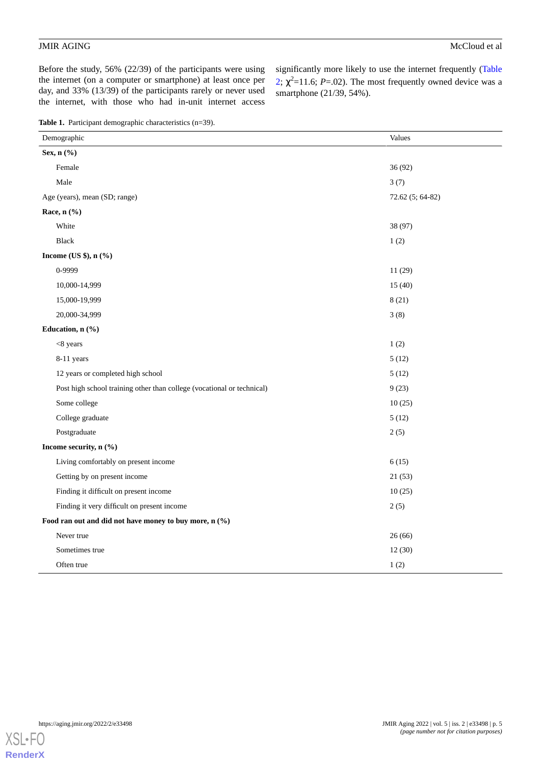Before the study, 56% (22/39) of the participants were using the internet (on a computer or smartphone) at least once per day, and 33% (13/39) of the participants rarely or never used the internet, with those who had in-unit internet access

significantly more likely to use the internet frequently ([Table](#page-5-0)  $2; \chi^2$  $2; \chi^2$ =11.6; *P*=.02). The most frequently owned device was a smartphone (21/39, 54%).

<span id="page-4-0"></span>**Table 1.** Participant demographic characteristics (n=39).

| Demographic                                                            | Values           |  |  |  |
|------------------------------------------------------------------------|------------------|--|--|--|
| Sex, n (%)                                                             |                  |  |  |  |
| Female                                                                 | 36 (92)          |  |  |  |
| Male                                                                   | 3(7)             |  |  |  |
| Age (years), mean (SD; range)                                          | 72.62 (5; 64-82) |  |  |  |
| Race, $n$ $(\%)$                                                       |                  |  |  |  |
| White                                                                  | 38 (97)          |  |  |  |
| <b>Black</b>                                                           | 1(2)             |  |  |  |
| Income (US \$), $n$ (%)                                                |                  |  |  |  |
| 0-9999                                                                 | 11(29)           |  |  |  |
| 10,000-14,999                                                          | 15(40)           |  |  |  |
| 15,000-19,999                                                          | 8(21)            |  |  |  |
| 20,000-34,999                                                          | 3(8)             |  |  |  |
| Education, n (%)                                                       |                  |  |  |  |
| $<8$ years                                                             | 1(2)             |  |  |  |
| 8-11 years                                                             | 5(12)            |  |  |  |
| 12 years or completed high school                                      | 5(12)            |  |  |  |
| Post high school training other than college (vocational or technical) | 9(23)            |  |  |  |
| Some college                                                           | 10(25)           |  |  |  |
| College graduate                                                       | 5(12)            |  |  |  |
| Postgraduate                                                           | 2(5)             |  |  |  |
| Income security, n (%)                                                 |                  |  |  |  |
| Living comfortably on present income                                   | 6(15)            |  |  |  |
| Getting by on present income                                           | 21(53)           |  |  |  |
| Finding it difficult on present income                                 | 10(25)           |  |  |  |
| Finding it very difficult on present income                            | 2(5)             |  |  |  |
| Food ran out and did not have money to buy more, n (%)                 |                  |  |  |  |
| Never true                                                             | 26(66)           |  |  |  |
| Sometimes true                                                         | 12(30)           |  |  |  |
| Often true                                                             | 1(2)             |  |  |  |

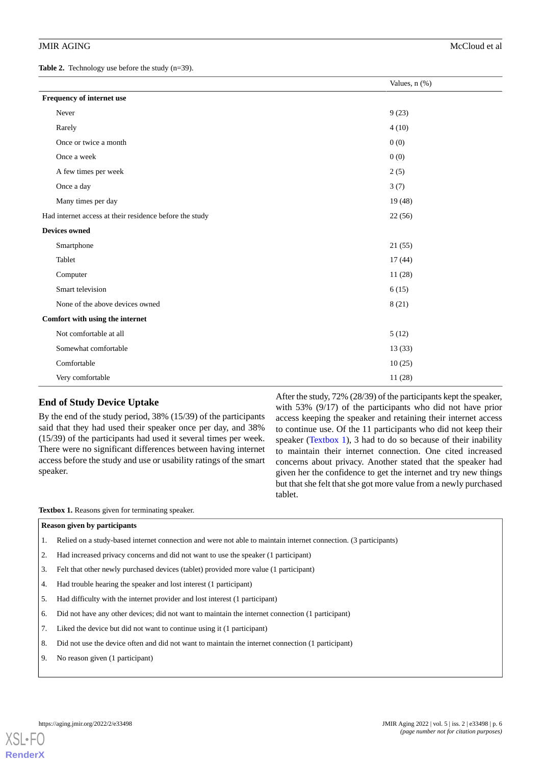<span id="page-5-0"></span>Table 2. Technology use before the study (n=39).

|                                                         | Values, n (%) |
|---------------------------------------------------------|---------------|
| Frequency of internet use                               |               |
| Never                                                   | 9(23)         |
| Rarely                                                  | 4(10)         |
| Once or twice a month                                   | 0(0)          |
| Once a week                                             | 0(0)          |
| A few times per week                                    | 2(5)          |
| Once a day                                              | 3(7)          |
| Many times per day                                      | 19(48)        |
| Had internet access at their residence before the study | 22(56)        |
| <b>Devices owned</b>                                    |               |
| Smartphone                                              | 21(55)        |
| Tablet                                                  | 17(44)        |
| Computer                                                | 11(28)        |
| Smart television                                        | 6(15)         |
| None of the above devices owned                         | 8(21)         |
| Comfort with using the internet                         |               |
| Not comfortable at all                                  | 5(12)         |
| Somewhat comfortable                                    | 13(33)        |
| Comfortable                                             | 10(25)        |
| Very comfortable                                        | 11(28)        |

### **End of Study Device Uptake**

<span id="page-5-1"></span>By the end of the study period, 38% (15/39) of the participants said that they had used their speaker once per day, and 38% (15/39) of the participants had used it several times per week. There were no significant differences between having internet access before the study and use or usability ratings of the smart speaker.

After the study, 72% (28/39) of the participants kept the speaker, with 53% (9/17) of the participants who did not have prior access keeping the speaker and retaining their internet access to continue use. Of the 11 participants who did not keep their speaker [\(Textbox 1](#page-5-1)), 3 had to do so because of their inability to maintain their internet connection. One cited increased concerns about privacy. Another stated that the speaker had given her the confidence to get the internet and try new things but that she felt that she got more value from a newly purchased tablet.

**Textbox 1.** Reasons given for terminating speaker.

### **Reason given by participants**

- 1. Relied on a study-based internet connection and were not able to maintain internet connection. (3 participants)
- 2. Had increased privacy concerns and did not want to use the speaker (1 participant)
- 3. Felt that other newly purchased devices (tablet) provided more value (1 participant)
- 4. Had trouble hearing the speaker and lost interest (1 participant)
- 5. Had difficulty with the internet provider and lost interest (1 participant)
- 6. Did not have any other devices; did not want to maintain the internet connection (1 participant)
- 7. Liked the device but did not want to continue using it (1 participant)
- 8. Did not use the device often and did not want to maintain the internet connection (1 participant)
- 9. No reason given (1 participant)

**[RenderX](http://www.renderx.com/)**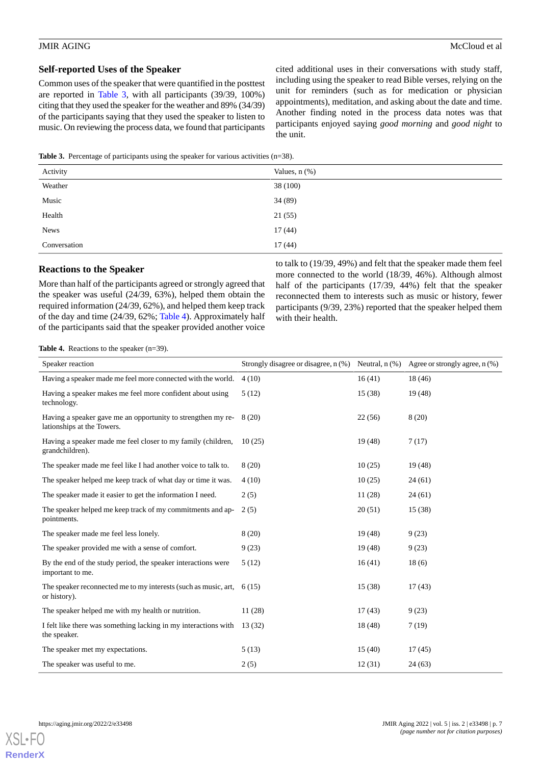### **Self-reported Uses of the Speaker**

Common uses of the speaker that were quantified in the posttest are reported in [Table 3](#page-6-0), with all participants (39/39, 100%) citing that they used the speaker for the weather and 89% (34/39) of the participants saying that they used the speaker to listen to music. On reviewing the process data, we found that participants cited additional uses in their conversations with study staff, including using the speaker to read Bible verses, relying on the unit for reminders (such as for medication or physician appointments), meditation, and asking about the date and time. Another finding noted in the process data notes was that participants enjoyed saying *good morning* and *good night* to the unit.

<span id="page-6-0"></span>**Table 3.** Percentage of participants using the speaker for various activities (n=38).

| Activity     | Values, $n$ $(\%)$ |
|--------------|--------------------|
| Weather      | 38 (100)           |
| Music        | 34 (89)            |
| Health       | 21(55)             |
| <b>News</b>  | 17(44)             |
| Conversation | 17(44)             |

### **Reactions to the Speaker**

<span id="page-6-1"></span>More than half of the participants agreed or strongly agreed that the speaker was useful (24/39, 63%), helped them obtain the required information (24/39, 62%), and helped them keep track of the day and time (24/39, 62%; [Table 4](#page-6-1)). Approximately half of the participants said that the speaker provided another voice

to talk to (19/39, 49%) and felt that the speaker made them feel more connected to the world (18/39, 46%). Although almost half of the participants (17/39, 44%) felt that the speaker reconnected them to interests such as music or history, fewer participants (9/39, 23%) reported that the speaker helped them with their health.

**Table 4.** Reactions to the speaker (n=39).

| Speaker reaction                                                                           | Strongly disagree or disagree, $n$ (%) Neutral, $n$ (%) |         | Agree or strongly agree, $n$ (%) |
|--------------------------------------------------------------------------------------------|---------------------------------------------------------|---------|----------------------------------|
| Having a speaker made me feel more connected with the world.                               | 4(10)                                                   | 16(41)  | 18 (46)                          |
| Having a speaker makes me feel more confident about using<br>technology.                   | 5(12)                                                   | 15 (38) | 19(48)                           |
| Having a speaker gave me an opportunity to strengthen my re-<br>lationships at the Towers. | 8(20)                                                   | 22(56)  | 8(20)                            |
| Having a speaker made me feel closer to my family (children,<br>grandchildren).            | 10(25)                                                  | 19 (48) | 7(17)                            |
| The speaker made me feel like I had another voice to talk to.                              | 8(20)                                                   | 10(25)  | 19(48)                           |
| The speaker helped me keep track of what day or time it was.                               | 4(10)                                                   | 10(25)  | 24(61)                           |
| The speaker made it easier to get the information I need.                                  | 2(5)                                                    | 11 (28) | 24(61)                           |
| The speaker helped me keep track of my commitments and ap-<br>pointments.                  | 2(5)                                                    | 20(51)  | 15 (38)                          |
| The speaker made me feel less lonely.                                                      | 8(20)                                                   | 19 (48) | 9(23)                            |
| The speaker provided me with a sense of comfort.                                           | 9(23)                                                   | 19 (48) | 9(23)                            |
| By the end of the study period, the speaker interactions were<br>important to me.          | 5(12)                                                   | 16(41)  | 18(6)                            |
| The speaker reconnected me to my interests (such as music, art,<br>or history).            | 6(15)                                                   | 15 (38) | 17(43)                           |
| The speaker helped me with my health or nutrition.                                         | 11(28)                                                  | 17(43)  | 9(23)                            |
| I felt like there was something lacking in my interactions with<br>the speaker.            | 13(32)                                                  | 18 (48) | 7(19)                            |
| The speaker met my expectations.                                                           | 5(13)                                                   | 15(40)  | 17(45)                           |
| The speaker was useful to me.                                                              | 2(5)                                                    | 12(31)  | 24(63)                           |

[XSL](http://www.w3.org/Style/XSL)•FO **[RenderX](http://www.renderx.com/)**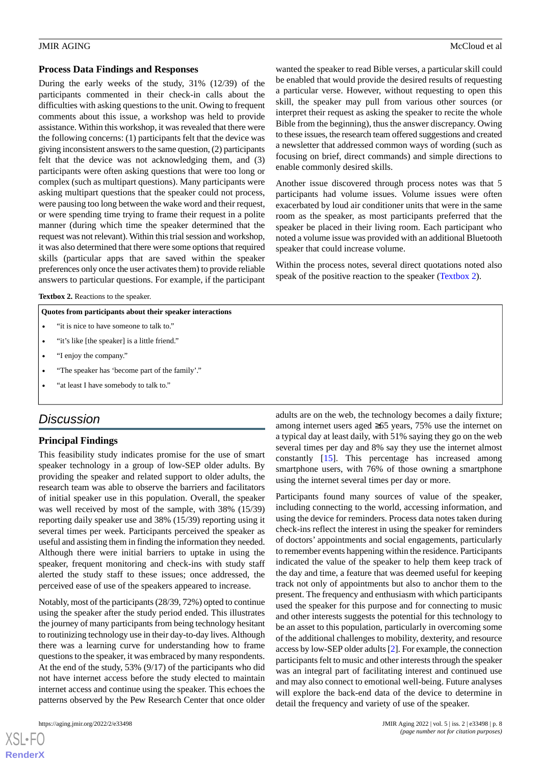### **Process Data Findings and Responses**

During the early weeks of the study, 31% (12/39) of the participants commented in their check-in calls about the difficulties with asking questions to the unit. Owing to frequent comments about this issue, a workshop was held to provide assistance. Within this workshop, it was revealed that there were the following concerns: (1) participants felt that the device was giving inconsistent answers to the same question, (2) participants felt that the device was not acknowledging them, and (3) participants were often asking questions that were too long or complex (such as multipart questions). Many participants were asking multipart questions that the speaker could not process, were pausing too long between the wake word and their request, or were spending time trying to frame their request in a polite manner (during which time the speaker determined that the request was not relevant). Within this trial session and workshop, it was also determined that there were some options that required skills (particular apps that are saved within the speaker preferences only once the user activates them) to provide reliable answers to particular questions. For example, if the participant

<span id="page-7-0"></span>Textbox 2. Reactions to the speaker.

### **Quotes from participants about their speaker interactions**

- "it is nice to have someone to talk to."
- "it's like [the speaker] is a little friend."
- "I enjoy the company."
- "The speaker has 'become part of the family'."
- "at least I have somebody to talk to."

### *Discussion*

### **Principal Findings**

This feasibility study indicates promise for the use of smart speaker technology in a group of low-SEP older adults. By providing the speaker and related support to older adults, the research team was able to observe the barriers and facilitators of initial speaker use in this population. Overall, the speaker was well received by most of the sample, with 38% (15/39) reporting daily speaker use and 38% (15/39) reporting using it several times per week. Participants perceived the speaker as useful and assisting them in finding the information they needed. Although there were initial barriers to uptake in using the speaker, frequent monitoring and check-ins with study staff alerted the study staff to these issues; once addressed, the perceived ease of use of the speakers appeared to increase.

Notably, most of the participants (28/39, 72%) opted to continue using the speaker after the study period ended. This illustrates the journey of many participants from being technology hesitant to routinizing technology use in their day-to-day lives. Although there was a learning curve for understanding how to frame questions to the speaker, it was embraced by many respondents. At the end of the study, 53% (9/17) of the participants who did not have internet access before the study elected to maintain internet access and continue using the speaker. This echoes the patterns observed by the Pew Research Center that once older

 $XS$  $\cdot$ FC **[RenderX](http://www.renderx.com/)** wanted the speaker to read Bible verses, a particular skill could be enabled that would provide the desired results of requesting a particular verse. However, without requesting to open this skill, the speaker may pull from various other sources (or interpret their request as asking the speaker to recite the whole Bible from the beginning), thus the answer discrepancy. Owing to these issues, the research team offered suggestions and created a newsletter that addressed common ways of wording (such as focusing on brief, direct commands) and simple directions to enable commonly desired skills.

Another issue discovered through process notes was that 5 participants had volume issues. Volume issues were often exacerbated by loud air conditioner units that were in the same room as the speaker, as most participants preferred that the speaker be placed in their living room. Each participant who noted a volume issue was provided with an additional Bluetooth speaker that could increase volume.

Within the process notes, several direct quotations noted also speak of the positive reaction to the speaker [\(Textbox 2](#page-7-0)).

adults are on the web, the technology becomes a daily fixture; among internet users aged ≥65 years, 75% use the internet on a typical day at least daily, with 51% saying they go on the web several times per day and 8% say they use the internet almost constantly [\[15](#page-9-11)]. This percentage has increased among smartphone users, with 76% of those owning a smartphone using the internet several times per day or more.

Participants found many sources of value of the speaker, including connecting to the world, accessing information, and using the device for reminders. Process data notes taken during check-ins reflect the interest in using the speaker for reminders of doctors' appointments and social engagements, particularly to remember events happening within the residence. Participants indicated the value of the speaker to help them keep track of the day and time, a feature that was deemed useful for keeping track not only of appointments but also to anchor them to the present. The frequency and enthusiasm with which participants used the speaker for this purpose and for connecting to music and other interests suggests the potential for this technology to be an asset to this population, particularly in overcoming some of the additional challenges to mobility, dexterity, and resource access by low-SEP older adults [\[2\]](#page-8-1). For example, the connection participants felt to music and other interests through the speaker was an integral part of facilitating interest and continued use and may also connect to emotional well-being. Future analyses will explore the back-end data of the device to determine in detail the frequency and variety of use of the speaker.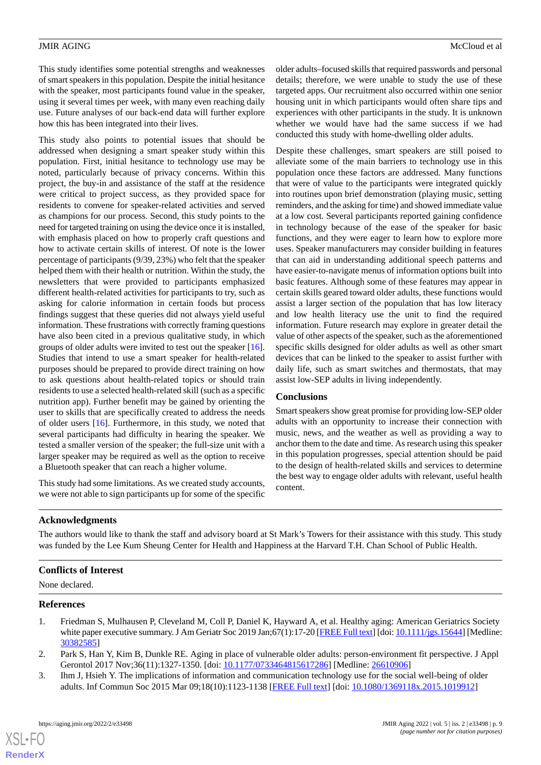This study identifies some potential strengths and weaknesses of smart speakers in this population. Despite the initial hesitance with the speaker, most participants found value in the speaker, using it several times per week, with many even reaching daily use. Future analyses of our back-end data will further explore how this has been integrated into their lives.

This study also points to potential issues that should be addressed when designing a smart speaker study within this population. First, initial hesitance to technology use may be noted, particularly because of privacy concerns. Within this project, the buy-in and assistance of the staff at the residence were critical to project success, as they provided space for residents to convene for speaker-related activities and served as champions for our process. Second, this study points to the need for targeted training on using the device once it is installed, with emphasis placed on how to properly craft questions and how to activate certain skills of interest. Of note is the lower percentage of participants (9/39, 23%) who felt that the speaker helped them with their health or nutrition. Within the study, the newsletters that were provided to participants emphasized different health-related activities for participants to try, such as asking for calorie information in certain foods but process findings suggest that these queries did not always yield useful information. These frustrations with correctly framing questions have also been cited in a previous qualitative study, in which groups of older adults were invited to test out the speaker [[16\]](#page-9-12). Studies that intend to use a smart speaker for health-related purposes should be prepared to provide direct training on how to ask questions about health-related topics or should train residents to use a selected health-related skill (such as a specific nutrition app). Further benefit may be gained by orienting the user to skills that are specifically created to address the needs of older users [\[16](#page-9-12)]. Furthermore, in this study, we noted that several participants had difficulty in hearing the speaker. We tested a smaller version of the speaker; the full-size unit with a larger speaker may be required as well as the option to receive a Bluetooth speaker that can reach a higher volume.

This study had some limitations. As we created study accounts, we were not able to sign participants up for some of the specific older adults–focused skills that required passwords and personal details; therefore, we were unable to study the use of these targeted apps. Our recruitment also occurred within one senior housing unit in which participants would often share tips and experiences with other participants in the study. It is unknown whether we would have had the same success if we had conducted this study with home-dwelling older adults.

Despite these challenges, smart speakers are still poised to alleviate some of the main barriers to technology use in this population once these factors are addressed. Many functions that were of value to the participants were integrated quickly into routines upon brief demonstration (playing music, setting reminders, and the asking for time) and showed immediate value at a low cost. Several participants reported gaining confidence in technology because of the ease of the speaker for basic functions, and they were eager to learn how to explore more uses. Speaker manufacturers may consider building in features that can aid in understanding additional speech patterns and have easier-to-navigate menus of information options built into basic features. Although some of these features may appear in certain skills geared toward older adults, these functions would assist a larger section of the population that has low literacy and low health literacy use the unit to find the required information. Future research may explore in greater detail the value of other aspects of the speaker, such as the aforementioned specific skills designed for older adults as well as other smart devices that can be linked to the speaker to assist further with daily life, such as smart switches and thermostats, that may assist low-SEP adults in living independently.

### **Conclusions**

Smart speakers show great promise for providing low-SEP older adults with an opportunity to increase their connection with music, news, and the weather as well as providing a way to anchor them to the date and time. As research using this speaker in this population progresses, special attention should be paid to the design of health-related skills and services to determine the best way to engage older adults with relevant, useful health content.

### **Acknowledgments**

The authors would like to thank the staff and advisory board at St Mark's Towers for their assistance with this study. This study was funded by the Lee Kum Sheung Center for Health and Happiness at the Harvard T.H. Chan School of Public Health.

### <span id="page-8-0"></span>**Conflicts of Interest**

<span id="page-8-1"></span>None declared.

### <span id="page-8-2"></span>**References**

[XSL](http://www.w3.org/Style/XSL)•FO **[RenderX](http://www.renderx.com/)**

- 1. Friedman S, Mulhausen P, Cleveland M, Coll P, Daniel K, Hayward A, et al. Healthy aging: American Geriatrics Society white paper executive summary. J Am Geriatr Soc 2019 Jan; 67(1):17-20 [[FREE Full text](https://doi.org/10.1111/jgs.15644)] [doi: [10.1111/jgs.15644\]](http://dx.doi.org/10.1111/jgs.15644) [Medline: [30382585](http://www.ncbi.nlm.nih.gov/entrez/query.fcgi?cmd=Retrieve&db=PubMed&list_uids=30382585&dopt=Abstract)]
- 2. Park S, Han Y, Kim B, Dunkle RE. Aging in place of vulnerable older adults: person-environment fit perspective. J Appl Gerontol 2017 Nov;36(11):1327-1350. [doi: [10.1177/0733464815617286](http://dx.doi.org/10.1177/0733464815617286)] [Medline: [26610906](http://www.ncbi.nlm.nih.gov/entrez/query.fcgi?cmd=Retrieve&db=PubMed&list_uids=26610906&dopt=Abstract)]
- 3. Ihm J, Hsieh Y. The implications of information and communication technology use for the social well-being of older adults. Inf Commun Soc 2015 Mar 09;18(10):1123-1138 [[FREE Full text](https://doi.org/10.1080/1369118X.2015.1019912)] [doi: [10.1080/1369118x.2015.1019912\]](http://dx.doi.org/10.1080/1369118x.2015.1019912)